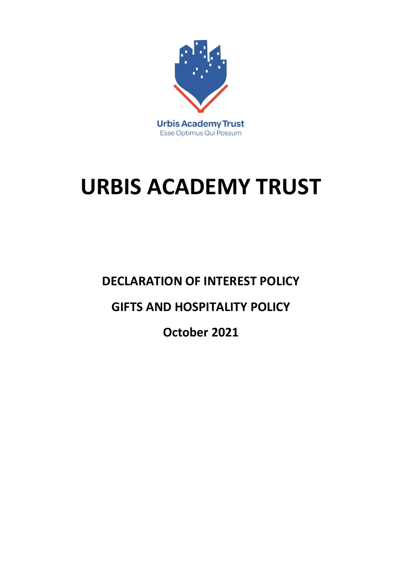

# **URBIS ACADEMY TRUST**

**DECLARATION OF INTEREST POLICY**

# **GIFTS AND HOSPITALITY POLICY**

**October 2021**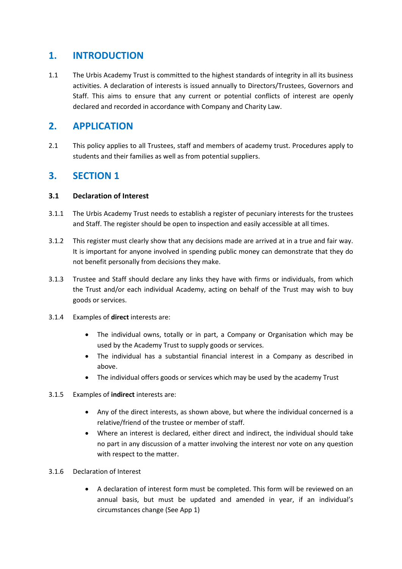# **1. INTRODUCTION**

1.1 The Urbis Academy Trust is committed to the highest standards of integrity in all its business activities. A declaration of interests is issued annually to Directors/Trustees, Governors and Staff. This aims to ensure that any current or potential conflicts of interest are openly declared and recorded in accordance with Company and Charity Law.

# **2. APPLICATION**

2.1 This policy applies to all Trustees, staff and members of academy trust. Procedures apply to students and their families as well as from potential suppliers.

### **3. SECTION 1**

#### **3.1 Declaration of Interest**

- 3.1.1 The Urbis Academy Trust needs to establish a register of pecuniary interests for the trustees and Staff. The register should be open to inspection and easily accessible at all times.
- 3.1.2 This register must clearly show that any decisions made are arrived at in a true and fair way. It is important for anyone involved in spending public money can demonstrate that they do not benefit personally from decisions they make.
- 3.1.3 Trustee and Staff should declare any links they have with firms or individuals, from which the Trust and/or each individual Academy, acting on behalf of the Trust may wish to buy goods or services.
- 3.1.4 Examples of **direct** interests are:
	- The individual owns, totally or in part, a Company or Organisation which may be used by the Academy Trust to supply goods or services.
	- The individual has a substantial financial interest in a Company as described in above.
	- The individual offers goods or services which may be used by the academy Trust
- 3.1.5 Examples of **indirect** interests are:
	- Any of the direct interests, as shown above, but where the individual concerned is a relative/friend of the trustee or member of staff.
	- Where an interest is declared, either direct and indirect, the individual should take no part in any discussion of a matter involving the interest nor vote on any question with respect to the matter.
- 3.1.6 Declaration of Interest
	- A declaration of interest form must be completed. This form will be reviewed on an annual basis, but must be updated and amended in year, if an individual's circumstances change (See App 1)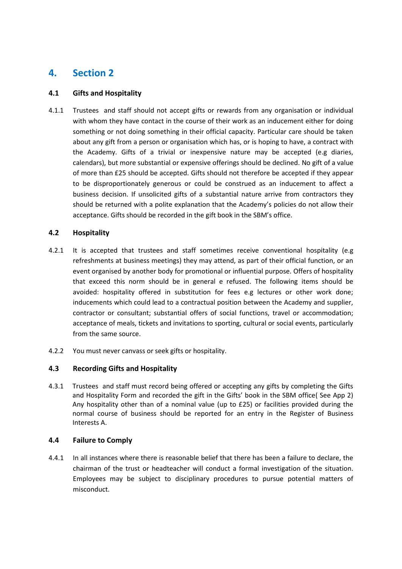# **4. Section 2**

#### **4.1 Gifts and Hospitality**

4.1.1 Trustees and staff should not accept gifts or rewards from any organisation or individual with whom they have contact in the course of their work as an inducement either for doing something or not doing something in their official capacity. Particular care should be taken about any gift from a person or organisation which has, or is hoping to have, a contract with the Academy. Gifts of a trivial or inexpensive nature may be accepted (e.g diaries, calendars), but more substantial or expensive offerings should be declined. No gift of a value of more than £25 should be accepted. Gifts should not therefore be accepted if they appear to be disproportionately generous or could be construed as an inducement to affect a business decision. If unsolicited gifts of a substantial nature arrive from contractors they should be returned with a polite explanation that the Academy's policies do not allow their acceptance. Gifts should be recorded in the gift book in the SBM's office.

#### **4.2 Hospitality**

- 4.2.1 It is accepted that trustees and staff sometimes receive conventional hospitality (e.g refreshments at business meetings) they may attend, as part of their official function, or an event organised by another body for promotional or influential purpose. Offers of hospitality that exceed this norm should be in general e refused. The following items should be avoided: hospitality offered in substitution for fees e.g lectures or other work done; inducements which could lead to a contractual position between the Academy and supplier, contractor or consultant; substantial offers of social functions, travel or accommodation; acceptance of meals, tickets and invitations to sporting, cultural or social events, particularly from the same source.
- 4.2.2 You must never canvass or seek gifts or hospitality.

#### **4.3 Recording Gifts and Hospitality**

4.3.1 Trustees and staff must record being offered or accepting any gifts by completing the Gifts and Hospitality Form and recorded the gift in the Gifts' book in the SBM office( See App 2) Any hospitality other than of a nominal value (up to £25) or facilities provided during the normal course of business should be reported for an entry in the Register of Business Interests A.

#### **4.4 Failure to Comply**

4.4.1 In all instances where there is reasonable belief that there has been a failure to declare, the chairman of the trust or headteacher will conduct a formal investigation of the situation. Employees may be subject to disciplinary procedures to pursue potential matters of misconduct.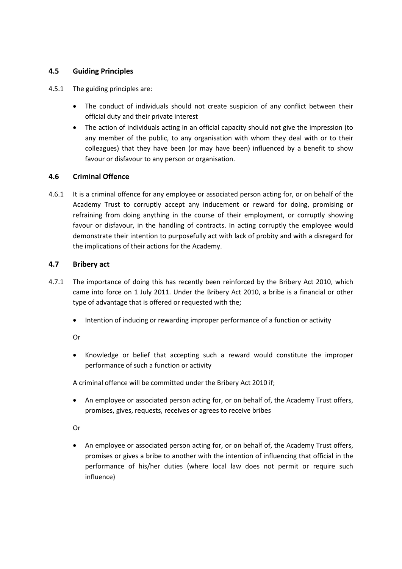#### **4.5 Guiding Principles**

- 4.5.1 The guiding principles are:
	- The conduct of individuals should not create suspicion of any conflict between their official duty and their private interest
	- The action of individuals acting in an official capacity should not give the impression (to any member of the public, to any organisation with whom they deal with or to their colleagues) that they have been (or may have been) influenced by a benefit to show favour or disfavour to any person or organisation.

#### **4.6 Criminal Offence**

4.6.1 It is a criminal offence for any employee or associated person acting for, or on behalf of the Academy Trust to corruptly accept any inducement or reward for doing, promising or refraining from doing anything in the course of their employment, or corruptly showing favour or disfavour, in the handling of contracts. In acting corruptly the employee would demonstrate their intention to purposefully act with lack of probity and with a disregard for the implications of their actions for the Academy.

#### **4.7 Bribery act**

- 4.7.1 The importance of doing this has recently been reinforced by the Bribery Act 2010, which came into force on 1 July 2011. Under the Bribery Act 2010, a bribe is a financial or other type of advantage that is offered or requested with the;
	- Intention of inducing or rewarding improper performance of a function or activity

Or

 Knowledge or belief that accepting such a reward would constitute the improper performance of such a function or activity

A criminal offence will be committed under the Bribery Act 2010 if;

 An employee or associated person acting for, or on behalf of, the Academy Trust offers, promises, gives, requests, receives or agrees to receive bribes

Or

 An employee or associated person acting for, or on behalf of, the Academy Trust offers, promises or gives a bribe to another with the intention of influencing that official in the performance of his/her duties (where local law does not permit or require such influence)